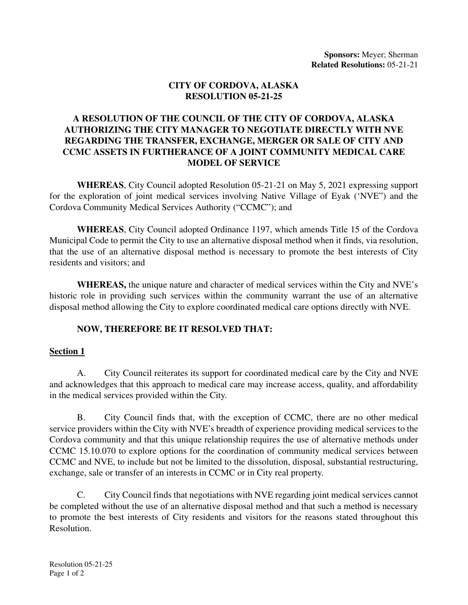### **CITY OF CORDOVA, ALASKA RESOLUTION 05-21-25**

## **A RESOLUTION OF THE COUNCIL OF THE CITY OF CORDOVA, ALASKA AUTHORIZING THE CITY MANAGER TO NEGOTIATE DIRECTLY WITH NVE REGARDING THE TRANSFER, EXCHANGE, MERGER OR SALE OF CITY AND CCMC ASSETS IN FURTHERANCE OF A JOINT COMMUNITY MEDICAL CARE MODEL OF SERVICE**

**WHEREAS**, City Council adopted Resolution 05-21-21 on May 5, 2021 expressing support for the exploration of joint medical services involving Native Village of Eyak ('NVE") and the Cordova Community Medical Services Authority ("CCMC"); and

**WHEREAS**, City Council adopted Ordinance 1197, which amends Title 15 of the Cordova Municipal Code to permit the City to use an alternative disposal method when it finds, via resolution, that the use of an alternative disposal method is necessary to promote the best interests of City residents and visitors; and

**WHEREAS,** the unique nature and character of medical services within the City and NVE's historic role in providing such services within the community warrant the use of an alternative disposal method allowing the City to explore coordinated medical care options directly with NVE.

### **NOW, THEREFORE BE IT RESOLVED THAT:**

### **Section 1**

A. City Council reiterates its support for coordinated medical care by the City and NVE and acknowledges that this approach to medical care may increase access, quality, and affordability in the medical services provided within the City.

B. City Council finds that, with the exception of CCMC, there are no other medical service providers within the City with NVE's breadth of experience providing medical services to the Cordova community and that this unique relationship requires the use of alternative methods under CCMC 15.10.070 to explore options for the coordination of community medical services between CCMC and NVE, to include but not be limited to the dissolution, disposal, substantial restructuring, exchange, sale or transfer of an interests in CCMC or in City real property.

C. City Council finds that negotiations with NVE regarding joint medical services cannot be completed without the use of an alternative disposal method and that such a method is necessary to promote the best interests of City residents and visitors for the reasons stated throughout this Resolution.